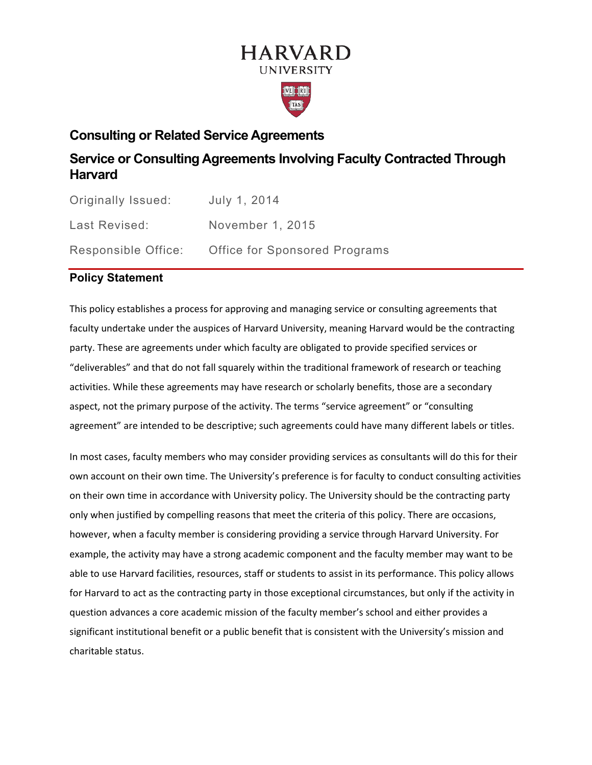# **HARVARD UNIVERSITY**



# **Consulting or Related Service Agreements**

# **Service or Consulting Agreements Involving Faculty Contracted Through Harvard**

| Originally Issued:  | July 1, 2014                  |
|---------------------|-------------------------------|
| Last Revised:       | November 1, 2015              |
| Responsible Office: | Office for Sponsored Programs |

# **Policy Statement**

This policy establishes a process for approving and managing service or consulting agreements that faculty undertake under the auspices of Harvard University, meaning Harvard would be the contracting party. These are agreements under which faculty are obligated to provide specified services or "deliverables" and that do not fall squarely within the traditional framework of research or teaching activities. While these agreements may have research or scholarly benefits, those are a secondary aspect, not the primary purpose of the activity. The terms "service agreement" or "consulting agreement" are intended to be descriptive; such agreements could have many different labels or titles.

In most cases, faculty members who may consider providing services as consultants will do this for their own account on their own time. The University's preference is for faculty to conduct consulting activities on their own time in accordance with University policy. The University should be the contracting party only when justified by compelling reasons that meet the criteria of this policy. There are occasions, however, when a faculty member is considering providing a service through Harvard University. For example, the activity may have a strong academic component and the faculty member may want to be able to use Harvard facilities, resources, staff or students to assist in its performance. This policy allows for Harvard to act as the contracting party in those exceptional circumstances, but only if the activity in question advances a core academic mission of the faculty member's school and either provides a significant institutional benefit or a public benefit that is consistent with the University's mission and charitable status.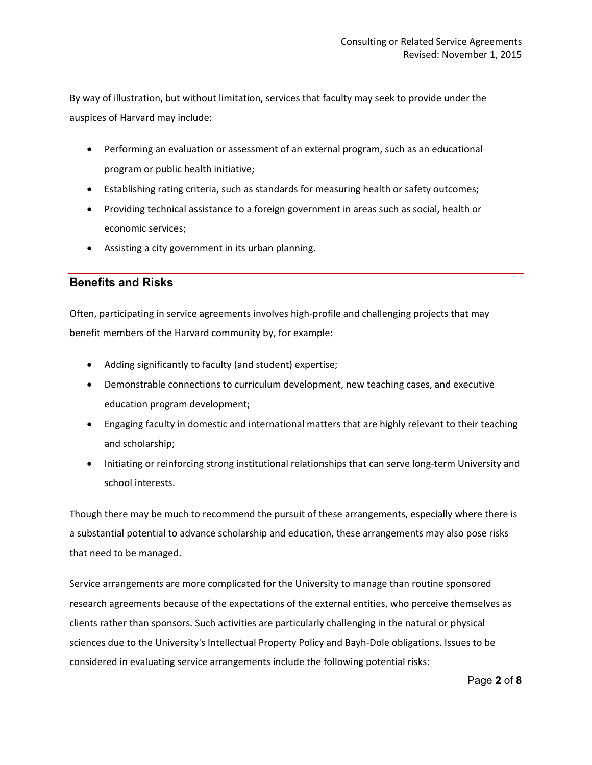By way of illustration, but without limitation, services that faculty may seek to provide under the auspices of Harvard may include:

- Performing an evaluation or assessment of an external program, such as an educational program or public health initiative;
- Establishing rating criteria, such as standards for measuring health or safety outcomes;
- Providing technical assistance to a foreign government in areas such as social, health or economic services;
- Assisting a city government in its urban planning.

#### **Benefits and Risks**

Often, participating in service agreements involves high-profile and challenging projects that may benefit members of the Harvard community by, for example:

- Adding significantly to faculty (and student) expertise;
- Demonstrable connections to curriculum development, new teaching cases, and executive education program development;
- Engaging faculty in domestic and international matters that are highly relevant to their teaching and scholarship;
- Initiating or reinforcing strong institutional relationships that can serve long-term University and school interests.

Though there may be much to recommend the pursuit of these arrangements, especially where there is a substantial potential to advance scholarship and education, these arrangements may also pose risks that need to be managed.

Service arrangements are more complicated for the University to manage than routine sponsored research agreements because of the expectations of the external entities, who perceive themselves as clients rather than sponsors. Such activities are particularly challenging in the natural or physical sciences due to the University's Intellectual Property Policy and Bayh-Dole obligations. Issues to be considered in evaluating service arrangements include the following potential risks: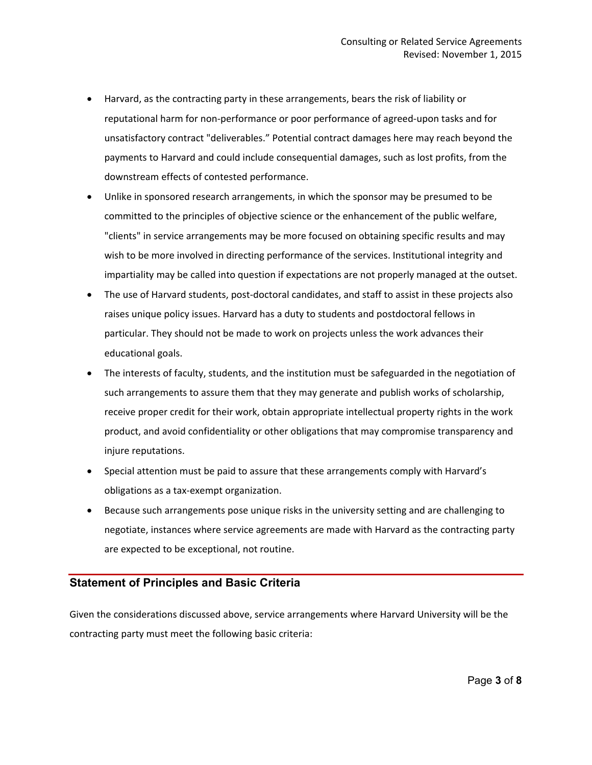- Harvard, as the contracting party in these arrangements, bears the risk of liability or reputational harm for non-performance or poor performance of agreed-upon tasks and for unsatisfactory contract "deliverables." Potential contract damages here may reach beyond the payments to Harvard and could include consequential damages, such as lost profits, from the downstream effects of contested performance.
- Unlike in sponsored research arrangements, in which the sponsor may be presumed to be committed to the principles of objective science or the enhancement of the public welfare, "clients" in service arrangements may be more focused on obtaining specific results and may wish to be more involved in directing performance of the services. Institutional integrity and impartiality may be called into question if expectations are not properly managed at the outset.
- The use of Harvard students, post-doctoral candidates, and staff to assist in these projects also raises unique policy issues. Harvard has a duty to students and postdoctoral fellows in particular. They should not be made to work on projects unless the work advances their educational goals.
- The interests of faculty, students, and the institution must be safeguarded in the negotiation of such arrangements to assure them that they may generate and publish works of scholarship, receive proper credit for their work, obtain appropriate intellectual property rights in the work product, and avoid confidentiality or other obligations that may compromise transparency and injure reputations.
- Special attention must be paid to assure that these arrangements comply with Harvard's obligations as a tax-exempt organization.
- Because such arrangements pose unique risks in the university setting and are challenging to negotiate, instances where service agreements are made with Harvard as the contracting party are expected to be exceptional, not routine.

#### **Statement of Principles and Basic Criteria**

Given the considerations discussed above, service arrangements where Harvard University will be the contracting party must meet the following basic criteria: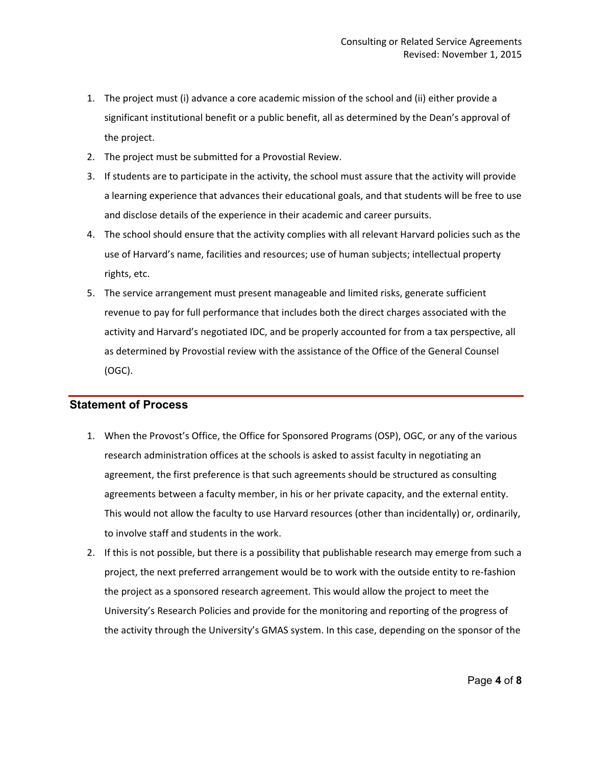- 1. The project must (i) advance a core academic mission of the school and (ii) either provide a significant institutional benefit or a public benefit, all as determined by the Dean's approval of the project.
- 2. The project must be submitted for a Provostial Review.
- 3. If students are to participate in the activity, the school must assure that the activity will provide a learning experience that advances their educational goals, and that students will be free to use and disclose details of the experience in their academic and career pursuits.
- 4. The school should ensure that the activity complies with all relevant Harvard policies such as the use of Harvard's name, facilities and resources; use of human subjects; intellectual property rights, etc.
- 5. The service arrangement must present manageable and limited risks, generate sufficient revenue to pay for full performance that includes both the direct charges associated with the activity and Harvard's negotiated IDC, and be properly accounted for from a tax perspective, all as determined by Provostial review with the assistance of the Office of the General Counsel (OGC).

## **Statement of Process**

- 1. When the Provost's Office, the Office for Sponsored Programs (OSP), OGC, or any of the various research administration offices at the schools is asked to assist faculty in negotiating an agreement, the first preference is that such agreements should be structured as consulting agreements between a faculty member, in his or her private capacity, and the external entity. This would not allow the faculty to use Harvard resources (other than incidentally) or, ordinarily, to involve staff and students in the work.
- 2. If this is not possible, but there is a possibility that publishable research may emerge from such a project, the next preferred arrangement would be to work with the outside entity to re-fashion the project as a sponsored research agreement. This would allow the project to meet the University's Research Policies and provide for the monitoring and reporting of the progress of the activity through the University's GMAS system. In this case, depending on the sponsor of the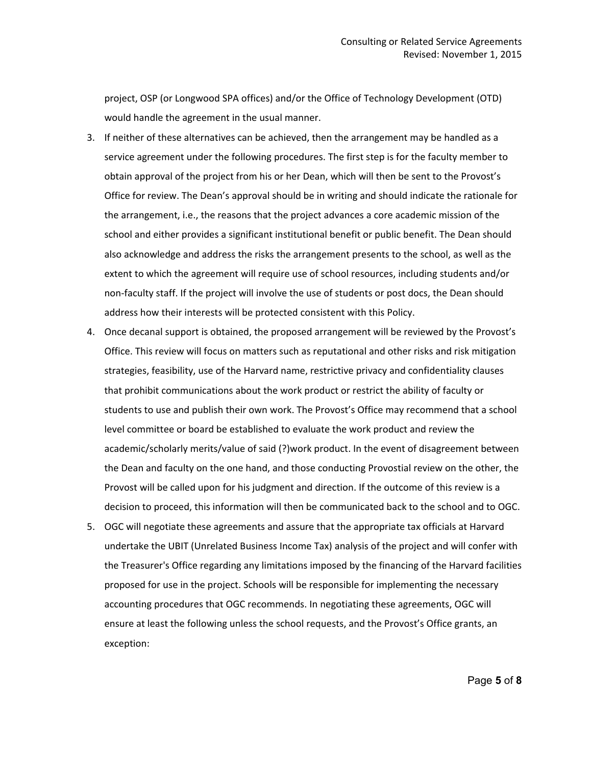project, OSP (or Longwood SPA offices) and/or the Office of Technology Development (OTD) would handle the agreement in the usual manner.

- 3. If neither of these alternatives can be achieved, then the arrangement may be handled as a service agreement under the following procedures. The first step is for the faculty member to obtain approval of the project from his or her Dean, which will then be sent to the Provost's Office for review. The Dean's approval should be in writing and should indicate the rationale for the arrangement, i.e., the reasons that the project advances a core academic mission of the school and either provides a significant institutional benefit or public benefit. The Dean should also acknowledge and address the risks the arrangement presents to the school, as well as the extent to which the agreement will require use of school resources, including students and/or non-faculty staff. If the project will involve the use of students or post docs, the Dean should address how their interests will be protected consistent with this Policy.
- 4. Once decanal support is obtained, the proposed arrangement will be reviewed by the Provost's Office. This review will focus on matters such as reputational and other risks and risk mitigation strategies, feasibility, use of the Harvard name, restrictive privacy and confidentiality clauses that prohibit communications about the work product or restrict the ability of faculty or students to use and publish their own work. The Provost's Office may recommend that a school level committee or board be established to evaluate the work product and review the academic/scholarly merits/value of said (?)work product. In the event of disagreement between the Dean and faculty on the one hand, and those conducting Provostial review on the other, the Provost will be called upon for his judgment and direction. If the outcome of this review is a decision to proceed, this information will then be communicated back to the school and to OGC.
- 5. OGC will negotiate these agreements and assure that the appropriate tax officials at Harvard undertake the UBIT (Unrelated Business Income Tax) analysis of the project and will confer with the Treasurer's Office regarding any limitations imposed by the financing of the Harvard facilities proposed for use in the project. Schools will be responsible for implementing the necessary accounting procedures that OGC recommends. In negotiating these agreements, OGC will ensure at least the following unless the school requests, and the Provost's Office grants, an exception: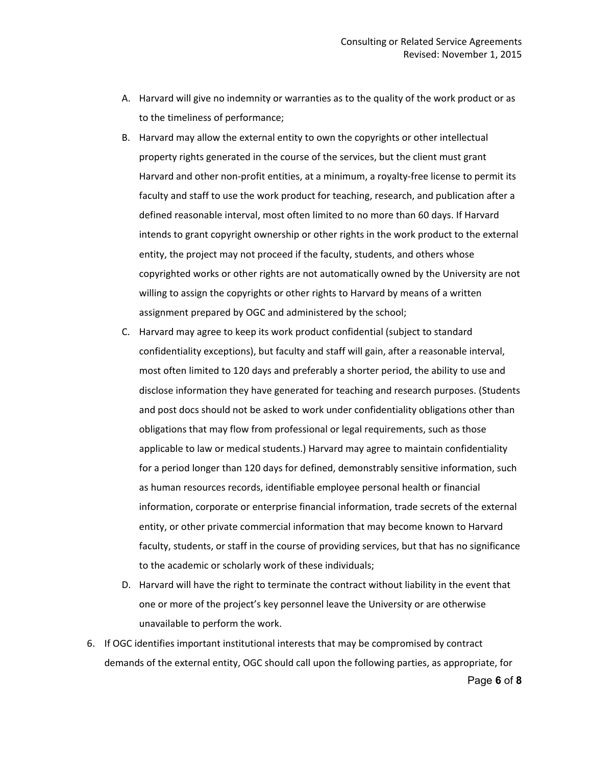- A. Harvard will give no indemnity or warranties as to the quality of the work product or as to the timeliness of performance;
- B. Harvard may allow the external entity to own the copyrights or other intellectual property rights generated in the course of the services, but the client must grant Harvard and other non-profit entities, at a minimum, a royalty-free license to permit its faculty and staff to use the work product for teaching, research, and publication after a defined reasonable interval, most often limited to no more than 60 days. If Harvard intends to grant copyright ownership or other rights in the work product to the external entity, the project may not proceed if the faculty, students, and others whose copyrighted works or other rights are not automatically owned by the University are not willing to assign the copyrights or other rights to Harvard by means of a written assignment prepared by OGC and administered by the school;
- C. Harvard may agree to keep its work product confidential (subject to standard confidentiality exceptions), but faculty and staff will gain, after a reasonable interval, most often limited to 120 days and preferably a shorter period, the ability to use and disclose information they have generated for teaching and research purposes. (Students and post docs should not be asked to work under confidentiality obligations other than obligations that may flow from professional or legal requirements, such as those applicable to law or medical students.) Harvard may agree to maintain confidentiality for a period longer than 120 days for defined, demonstrably sensitive information, such as human resources records, identifiable employee personal health or financial information, corporate or enterprise financial information, trade secrets of the external entity, or other private commercial information that may become known to Harvard faculty, students, or staff in the course of providing services, but that has no significance to the academic or scholarly work of these individuals;
- D. Harvard will have the right to terminate the contract without liability in the event that one or more of the project's key personnel leave the University or are otherwise unavailable to perform the work.
- 6. If OGC identifies important institutional interests that may be compromised by contract demands of the external entity, OGC should call upon the following parties, as appropriate, for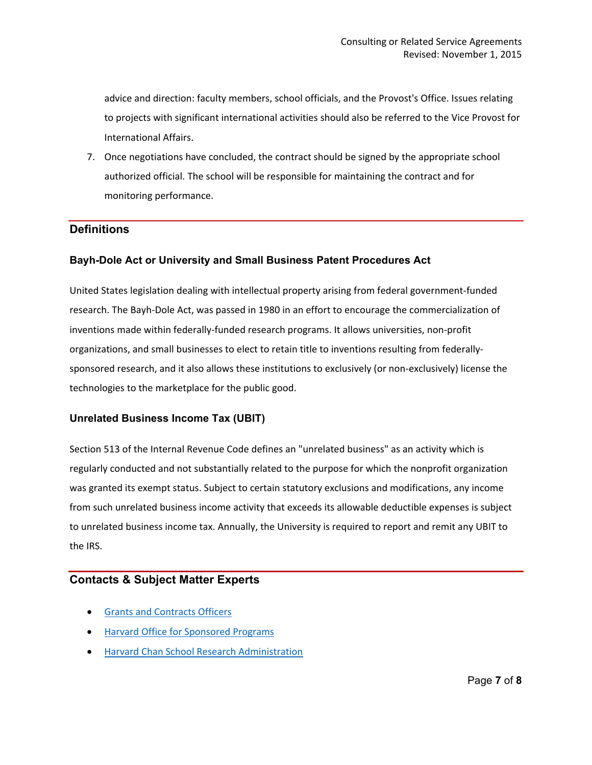advice and direction: faculty members, school officials, and the Provost's Office. Issues relating to projects with significant international activities should also be referred to the Vice Provost for International Affairs.

7. Once negotiations have concluded, the contract should be signed by the appropriate school authorized official. The school will be responsible for maintaining the contract and for monitoring performance.

### **Definitions**

#### **Bayh-Dole Act or University and Small Business Patent Procedures Act**

United States legislation dealing with intellectual property arising from federal government-funded research. The Bayh-Dole Act, was passed in 1980 in an effort to encourage the commercialization of inventions made within federally-funded research programs. It allows universities, non-profit organizations, and small businesses to elect to retain title to inventions resulting from federallysponsored research, and it also allows these institutions to exclusively (or non-exclusively) license the technologies to the marketplace for the public good.

#### **Unrelated Business Income Tax (UBIT)**

Section 513 of the Internal Revenue Code defines an "unrelated business" as an activity which is regularly conducted and not substantially related to the purpose for which the nonprofit organization was granted its exempt status. Subject to certain statutory exclusions and modifications, any income from such unrelated business income activity that exceeds its allowable deductible expenses is subject to unrelated business income tax. Annually, the University is required to report and remit any UBIT to the IRS.

### **Contacts & Subject Matter Experts**

- [Grants and Contracts Officers](https://osp.finance.harvard.edu/osp-people)
- [Harvard Office for Sponsored Programs](https://osp.finance.harvard.edu/)
- [Harvard Chan School Research Administration](https://hcsra.sph.harvard.edu/)